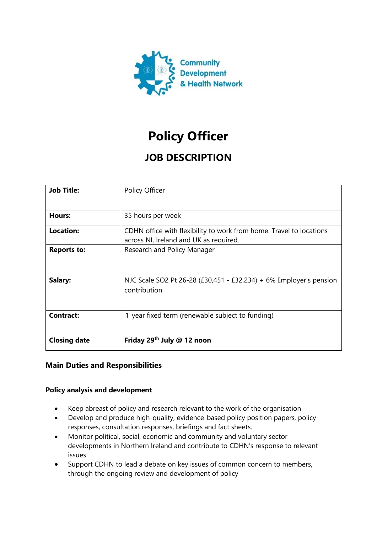

# **Policy Officer**

# **JOB DESCRIPTION**

| <b>Job Title:</b>   | Policy Officer                                                                                                |
|---------------------|---------------------------------------------------------------------------------------------------------------|
| Hours:              | 35 hours per week                                                                                             |
| <b>Location:</b>    | CDHN office with flexibility to work from home. Travel to locations<br>across NI, Ireland and UK as required. |
| <b>Reports to:</b>  | Research and Policy Manager                                                                                   |
| Salary:             | NJC Scale SO2 Pt 26-28 (£30,451 - £32,234) + 6% Employer's pension<br>contribution                            |
| <b>Contract:</b>    | 1 year fixed term (renewable subject to funding)                                                              |
| <b>Closing date</b> | Friday 29 <sup>th</sup> July @ 12 noon                                                                        |

## **Main Duties and Responsibilities**

#### **Policy analysis and development**

- Keep abreast of policy and research relevant to the work of the organisation
- Develop and produce high-quality, evidence-based policy position papers, policy responses, consultation responses, briefings and fact sheets.
- Monitor political, social, economic and community and voluntary sector developments in Northern Ireland and contribute to CDHN's response to relevant issues
- Support CDHN to lead a debate on key issues of common concern to members, through the ongoing review and development of policy